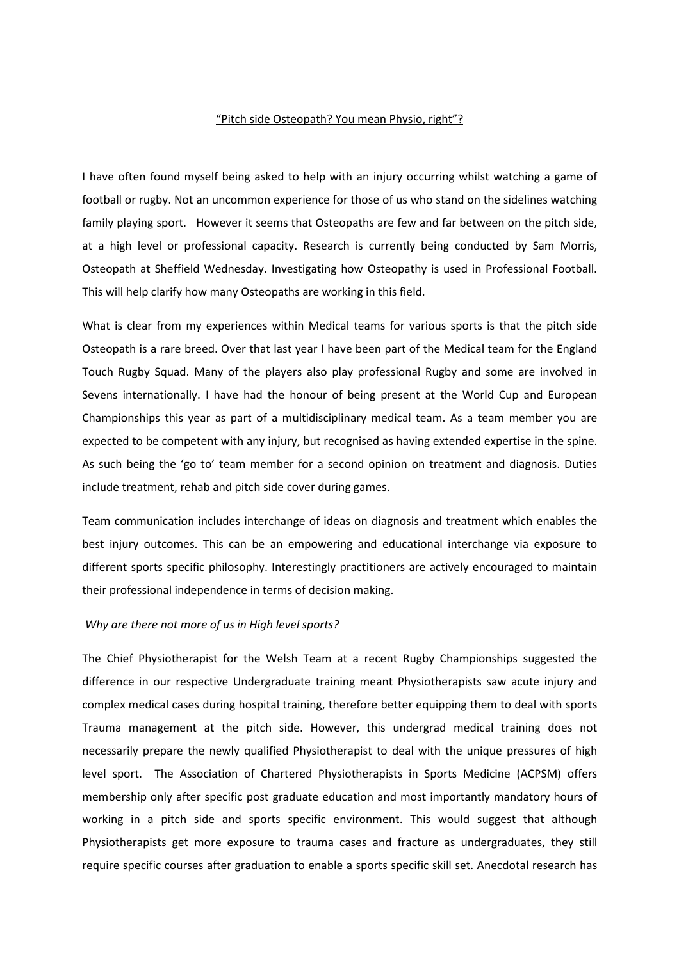## "Pitch side Osteopath? You mean Physio, right"?

I have often found myself being asked to help with an injury occurring whilst watching a game of football or rugby. Not an uncommon experience for those of us who stand on the sidelines watching family playing sport. However it seems that Osteopaths are few and far between on the pitch side, at a high level or professional capacity. Research is currently being conducted by Sam Morris, Osteopath at Sheffield Wednesday. Investigating how Osteopathy is used in Professional Football. This will help clarify how many Osteopaths are working in this field.

What is clear from my experiences within Medical teams for various sports is that the pitch side Osteopath is a rare breed. Over that last year I have been part of the Medical team for the England Touch Rugby Squad. Many of the players also play professional Rugby and some are involved in Sevens internationally. I have had the honour of being present at the World Cup and European Championships this year as part of a multidisciplinary medical team. As a team member you are expected to be competent with any injury, but recognised as having extended expertise in the spine. As such being the 'go to' team member for a second opinion on treatment and diagnosis. Duties include treatment, rehab and pitch side cover during games.

Team communication includes interchange of ideas on diagnosis and treatment which enables the best injury outcomes. This can be an empowering and educational interchange via exposure to different sports specific philosophy. Interestingly practitioners are actively encouraged to maintain their professional independence in terms of decision making.

## *Why are there not more of us in High level sports?*

The Chief Physiotherapist for the Welsh Team at a recent Rugby Championships suggested the difference in our respective Undergraduate training meant Physiotherapists saw acute injury and complex medical cases during hospital training, therefore better equipping them to deal with sports Trauma management at the pitch side. However, this undergrad medical training does not necessarily prepare the newly qualified Physiotherapist to deal with the unique pressures of high level sport. The Association of Chartered Physiotherapists in Sports Medicine (ACPSM) offers membership only after specific post graduate education and most importantly mandatory hours of working in a pitch side and sports specific environment. This would suggest that although Physiotherapists get more exposure to trauma cases and fracture as undergraduates, they still require specific courses after graduation to enable a sports specific skill set. Anecdotal research has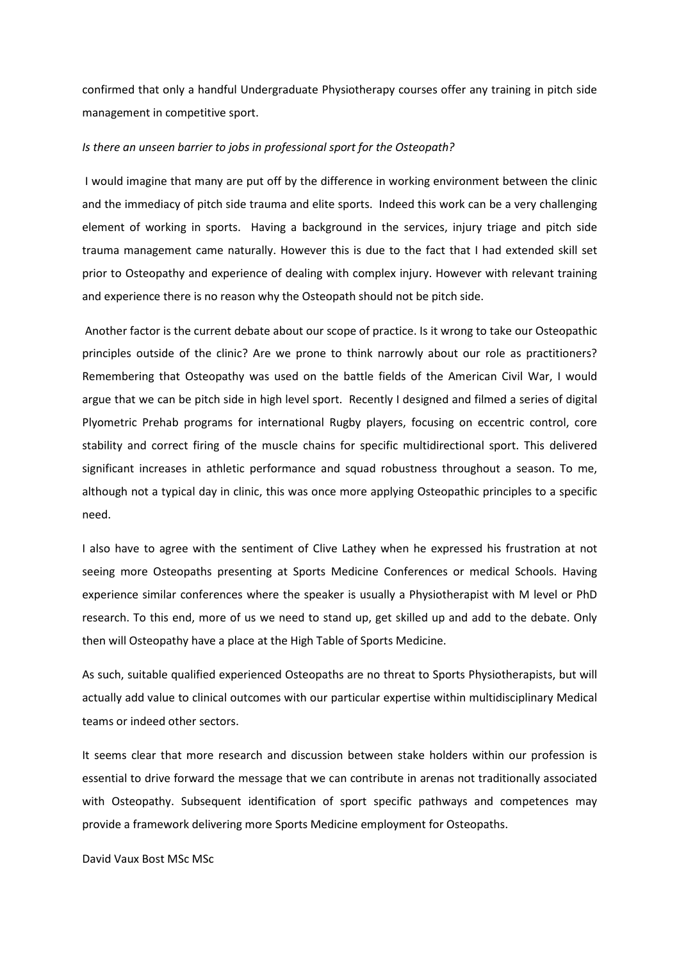confirmed that only a handful Undergraduate Physiotherapy courses offer any training in pitch side management in competitive sport.

## *Is there an unseen barrier to jobs in professional sport for the Osteopath?*

 I would imagine that many are put off by the difference in working environment between the clinic and the immediacy of pitch side trauma and elite sports. Indeed this work can be a very challenging element of working in sports. Having a background in the services, injury triage and pitch side trauma management came naturally. However this is due to the fact that I had extended skill set prior to Osteopathy and experience of dealing with complex injury. However with relevant training and experience there is no reason why the Osteopath should not be pitch side.

 Another factor is the current debate about our scope of practice. Is it wrong to take our Osteopathic principles outside of the clinic? Are we prone to think narrowly about our role as practitioners? Remembering that Osteopathy was used on the battle fields of the American Civil War, I would argue that we can be pitch side in high level sport. Recently I designed and filmed a series of digital Plyometric Prehab programs for international Rugby players, focusing on eccentric control, core stability and correct firing of the muscle chains for specific multidirectional sport. This delivered significant increases in athletic performance and squad robustness throughout a season. To me, although not a typical day in clinic, this was once more applying Osteopathic principles to a specific need.

I also have to agree with the sentiment of Clive Lathey when he expressed his frustration at not seeing more Osteopaths presenting at Sports Medicine Conferences or medical Schools. Having experience similar conferences where the speaker is usually a Physiotherapist with M level or PhD research. To this end, more of us we need to stand up, get skilled up and add to the debate. Only then will Osteopathy have a place at the High Table of Sports Medicine.

As such, suitable qualified experienced Osteopaths are no threat to Sports Physiotherapists, but will actually add value to clinical outcomes with our particular expertise within multidisciplinary Medical teams or indeed other sectors.

It seems clear that more research and discussion between stake holders within our profession is essential to drive forward the message that we can contribute in arenas not traditionally associated with Osteopathy. Subsequent identification of sport specific pathways and competences may provide a framework delivering more Sports Medicine employment for Osteopaths.

David Vaux Bost MSc MSc